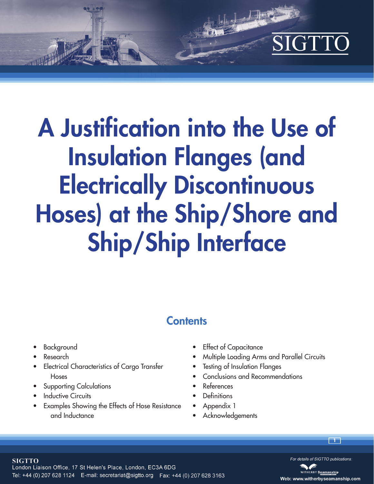# SIGTT

**」,「正**子

# **A Justification into the Use of Insulation Flanges (and Electrically Discontinuous Hoses) at the Ship/Shore and Ship/Ship Interface**

## **Contents**

- Background
- Research

**SIGTTO** 

- Electrical Characteristics of Cargo Transfer Hoses
- Supporting Calculations
- **Inductive Circuits**
- Examples Showing the Effects of Hose Resistance and Inductance
- Effect of Capacitance
- Multiple Loading Arms and Parallel Circuits
- **Testing of Insulation Flanges**
- Conclusions and Recommendations
- References
- **Definitions**
- Appendix 1
- Acknowledgements

London Liaison Office, 17 St Helen's Place, London, EC3A 6DG Tel: +44 (0) 207 628 1124 E-mail: secretariat@sigtto.org Fax: +44 (0) 207 628 3163



**1**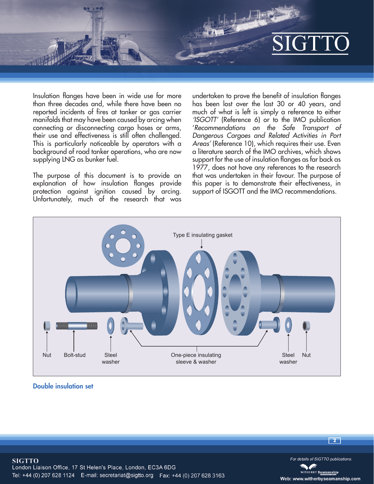

Insulation flanges have been in wide use for more than three decades and, while there have been no reported incidents of fires at tanker or gas carrier manifolds that may have been caused by arcing when connecting or disconnecting cargo hoses or arms, their use and effectiveness is still often challenged. This is particularly noticeable by operators with a background of road tanker operations, who are now supplying LNG as bunker fuel.

The purpose of this document is to provide an explanation of how insulation flanges provide protection against ignition caused by arcing. Unfortunately, much of the research that was

undertaken to prove the benefit of insulation flanges has been lost over the last 30 or 40 years, and much of what is left is simply a reference to either *'ISGOTT'* (Reference 6) or to the IMO publication '*Recommendations on the Safe Transport of Dangerous Cargoes and Related Activities in Port Areas'* (Reference 10), which requires their use. Even a literature search of the IMO archives, which shows support for the use of insulation flanges as far back as 1977, does not have any references to the research that was undertaken in their favour. The purpose of this paper is to demonstrate their effectiveness, in support of ISGOTT and the IMO recommendations.



**Double insulation set**



**2**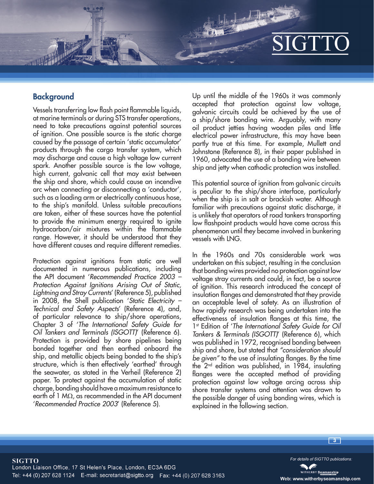## **Background**

Vessels transferring low flash point flammable liquids, at marine terminals or during STS transfer operations, need to take precautions against potential sources of ignition. One possible source is the static charge caused by the passage of certain 'static accumulator' products through the cargo transfer system, which may discharge and cause a high voltage low current spark. Another possible source is the low voltage, high current, galvanic cell that may exist between the ship and shore, which could cause an incendive arc when connecting or disconnecting a 'conductor', such as a loading arm or electrically continuous hose, to the ship's manifold. Unless suitable precautions are taken, either of these sources have the potential to provide the minimum energy required to ignite hydrocarbon/air mixtures within the flammable range. However, it should be understood that they have different causes and require different remedies.

Protection against ignitions from static are well documented in numerous publications, including the API document '*Recommended Practice 2003 – Protection Against Ignitions Arising Out of Static, Lightning and Stray Currents*' (Reference 5), published in 2008, the Shell publication '*Static Electricity – Technical and Safety Aspects*' (Reference 4), and, of particular relevance to ship/shore operations, Chapter 3 of '*The International Safety Guide for Oil Tankers and Terminals (ISGOTT)*' (Reference 6). Protection is provided by shore pipelines being bonded together and then earthed onboard the ship, and metallic objects being bonded to the ship's structure, which is then effectively 'earthed' through the seawater, as stated in the Verheil (Reference 2) paper. To protect against the accumulation of static charge, bonding should have a maximum resistance to earth of 1 M $\Omega$ , as recommended in the API document '*Recommended Practice 2003*' (Reference 5).

Up until the middle of the 1960s it was commonly accepted that protection against low voltage, galvanic circuits could be achieved by the use of a ship/shore bonding wire. Arguably, with many oil product jetties having wooden piles and little electrical power infrastructure, this may have been partly true at this time. For example, Mullett and Johnstone (Reference 8), in their paper published in 1960, advocated the use of a bonding wire between ship and jetty when cathodic protection was installed.

This potential source of ignition from galvanic circuits is peculiar to the ship/shore interface, particularly when the ship is in salt or brackish water. Although familiar with precautions against static discharge, it is unlikely that operators of road tankers transporting low flashpoint products would have come across this phenomenon until they became involved in bunkering vessels with LNG.

In the 1960s and 70s considerable work was undertaken on this subject, resulting in the conclusion that bonding wires provided no protection against low voltage stray currents and could, in fact, be a source of ignition. This research introduced the concept of insulation flanges and demonstrated that they provide an acceptable level of safety. As an illustration of how rapidly research was being undertaken into the effectiveness of insulation flanges at this time, the 1st Edition of '*The International Safety Guide for Oil Tankers & Terminals (ISGOTT)*' (Reference 6), which was published in 1972, recognised bonding between ship and shore, but stated that *"consideration should be given"* to the use of insulating flanges. By the time the 2nd edition was published, in 1984, insulating flanges were the accepted method of providing protection against low voltage arcing across ship shore transfer systems and attention was drawn to the possible danger of using bonding wires, which is explained in the following section.

**SIGTTO** London Liaison Office, 17 St Helen's Place, London, EC3A 6DG Tel: +44 (0) 207 628 1124 E-mail: secretariat@sigtto.org Fax: +44 (0) 207 628 3163

For details of SIGTTO publications.

**3**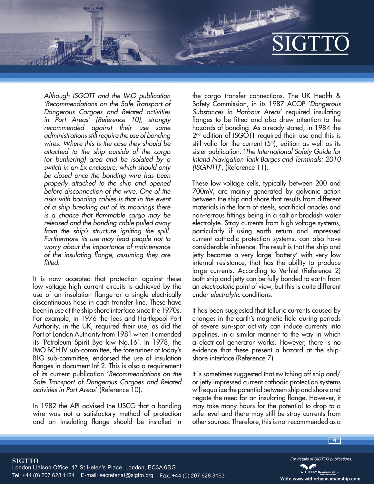*Although ISGOTT and the IMO publication 'Recommendations on the Safe Transport of Dangerous Cargoes and Related activities in Port Areas' (Reference 10), strongly recommended against their use some administrations still require the use of bonding wires. Where this is the case they should be attached to the ship outside of the cargo (or bunkering) area and be isolated by a switch in an Ex enclosure, which should only be closed once the bonding wire has been properly attached to the ship and opened before disconnection of the wire. One of the risks with bonding cables is that in the event of a ship breaking out of its moorings there is a chance that flammable cargo may be released and the bonding cable pulled away from the ship's structure igniting the spill. Furthermore its use may lead people not to worry about the importance of maintenance of the insulating flange, assuming they are fitted.*

It is now accepted that protection against these low voltage high current circuits is achieved by the use of an insulation flange or a single electrically discontinuous hose in each transfer line. These have been in use at the ship shore interface since the 1970s. For example, in 1976 the Tees and Hartlepool Port Authority, in the UK, required their use, as did the Port of London Authority from 1981 when it amended its 'Petroleum Spirit Bye law No.16'. In 1978, the IMO BCH IV sub-committee, the forerunner of today's BLG sub-committee, endorsed the use of insulation flanges in document Inf.2. This is also a requirement of its current publication '*Recommendations on the Safe Transport of Dangerous Cargoes and Related activities in Port Areas*' (Reference 10).

In 1982 the API advised the USCG that a bonding wire was not a satisfactory method of protection and an insulating flange should be installed in the cargo transfer connections. The UK Health & Safety Commission, in its 1987 ACOP '*Dangerous Substances in Harbour Areas*' required insulating flanges to be fitted and also drew attention to the hazards of bonding. As already stated, in 1984 the 2<sup>nd</sup> edition of ISGOTT required their use and this is still valid for the current  $(5<sup>th</sup>)$ , edition as well as its sister publication. '*The International Safety Guide for Inland Navigation Tank Barges and Terminals: 2010 (ISGINTT)*', (Reference 11).

These low voltage cells, typically between 200 and 700mV, are mainly generated by galvanic action between the ship and shore that results from different materials in the form of steels, sacrificial anodes and non-ferrous fittings being in a salt or brackish water electrolyte. Stray currents from high voltage systems, particularly if using earth return and impressed current cathodic protection systems, can also have considerable influence. The result is that the ship and jetty becomes a very large 'battery' with very low internal resistance, that has the ability to produce large currents. According to Verhiel (Reference 2) both ship and jetty can be fully bonded to earth from an *electrostatic* point of view, but this is quite different under *electrolytic* conditions.

It has been suggested that telluric currents caused by changes in the earth's magnetic field during periods of severe sun-spot activity can induce currents into pipelines, in a similar manner to the way in which a electrical generator works. However, there is no evidence that these present a hazard at the shipshore interface (Reference 7).

It is sometimes suggested that switching off ship and/ or jetty impressed current cathodic protection systems will equalize the potential between ship and shore and negate the need for an insulating flange. However, it may take many hours for the potential to drop to a safe level and there may still be stray currents from other sources. Therefore, this is not recommended as a

**4**

For details of SIGTTO publications.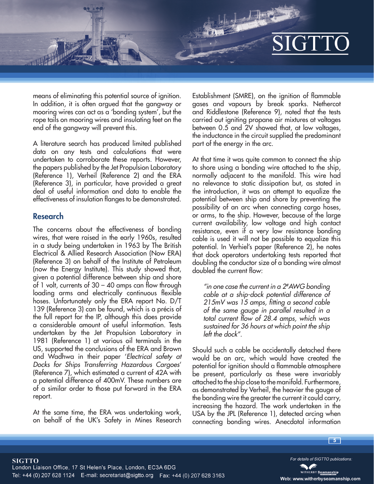means of eliminating this potential source of ignition. In addition, it is often argued that the gangway or mooring wires can act as a 'bonding system', but the rope tails on mooring wires and insulating feet on the end of the gangway will prevent this.

A literature search has produced limited published data on any tests and calculations that were undertaken to corroborate these reports. However, the papers published by the Jet Propulsion Laboratory (Reference 1), Verheil (Reference 2) and the ERA (Reference 3), in particular, have provided a great deal of useful information and data to enable the effectiveness of insulation flanges to be demonstrated.

#### **Research**

The concerns about the effectiveness of bonding wires, that were raised in the early 1960s, resulted in a study being undertaken in 1963 by The British Electrical & Allied Research Association (Now ERA) (Reference 3) on behalf of the Institute of Petroleum (now the Energy Institute). This study showed that, given a potential difference between ship and shore of 1 volt, currents of 30 – 40 amps can flow through loading arms and electrically continuous flexible hoses. Unfortunately only the ERA report No. D/T 139 (Reference 3) can be found, which is a précis of the full report for the IP, although this does provide a considerable amount of useful information. Tests undertaken by the Jet Propulsion Laboratory in 1981 (Reference 1) at various oil terminals in the US, supported the conclusions of the ERA and Brown and Wadhwa in their paper '*Electrical safety at Docks for Ships Transferring Hazardous Cargoes*' (Reference 7), which estimated a current of 42A with a potential difference of 400mV. These numbers are of a similar order to those put forward in the ERA report.

At the same time, the ERA was undertaking work, on behalf of the UK's Safety in Mines Research Establishment (SMRE), on the ignition of flammable gases and vapours by break sparks. Nethercot and Riddlestone (Reference 9), noted that the tests carried out igniting propane air mixtures at voltages between 0.5 and 2V showed that, at low voltages, the inductance in the circuit supplied the predominant part of the energy in the arc.

At that time it was quite common to connect the ship to shore using a bonding wire attached to the ship, normally adjacent to the manifold. This wire had no relevance to static dissipation but, as stated in the introduction, it was an attempt to equalize the potential between ship and shore by preventing the possibility of an arc when connecting cargo hoses, or arms, to the ship. However, because of the large current availability, low voltage and high contact resistance, even if a very low resistance bonding cable is used it will not be possible to equalize this potential. In Verhiel's paper (Reference 2), he notes that dock operators undertaking tests reported that doubling the conductor size of a bonding wire almost doubled the current flow:

*"in one case the current in a 2#AWG bonding cable at a ship-dock potential difference of 215mV was 15 amps, fitting a second cable of the same gauge in parallel resulted in a total current flow of 28.4 amps, which was sustained for 36 hours at which point the ship left the dock".*

Should such a cable be accidentally detached there would be an arc, which would have created the potential for ignition should a flammable atmosphere be present, particularly as these were invariably attached to the ship close to the manifold. Furthermore, as demonstrated by Verheil, the heavier the gauge of the bonding wire the greater the current it could carry, increasing the hazard. The work undertaken in the USA by the JPL (Reference 1), detected arcing when connecting bonding wires. Anecdotal information

For details of SIGTTO publications.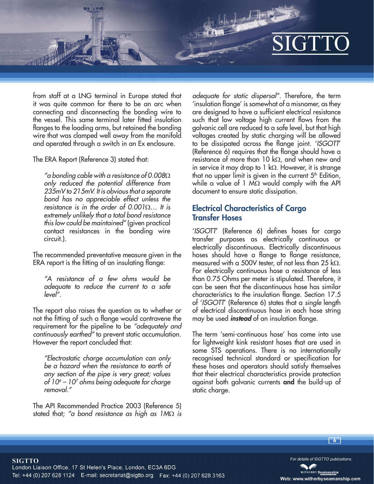from staff at a LNG terminal in Europe stated that it was quite common for there to be an arc when connecting and disconnecting the bonding wire to the vessel. This same terminal later fitted insulation flanges to the loading arms, but retained the bonding wire that was clamped well away from the manifold and operated through a switch in an Ex enclosure.

The ERA Report (Reference 3) stated that:

*"a bonding cable with a resistance of 0.008 only reduced the potential difference from 235mV to 215mV. It is obvious that a separate bond has no appreciable effect unless the resistance is in the order of 0.001… It is extremely unlikely that a total bond resistance this low could be maintained"* (given practical contact resistances in the bonding wire circuit.).

The recommended preventative measure given in the ERA report is the fitting of an insulating flange:

*"A resistance of a few ohms would be adequate to reduce the current to a safe level".*

The report also raises the question as to whether or not the fitting of such a flange would contravene the requirement for the pipeline to be *"adequately and continuously earthed"* to prevent static accumulation. However the report concluded that:

*"Electrostatic charge accumulation can only be a hazard when the resistance to earth of any section of the pipe is very great; values of 106 – 107 ohms being adequate for charge removal."*

The API Recommended Practice 2003 (Reference 5) stated that; "a bond resistance as high as  $1 \text{M}\Omega$  is *adequate for static dispersal".* Therefore, the term 'insulation flange' is somewhat of a misnomer, as they are designed to have a sufficient electrical resistance such that low voltage high current flows from the galvanic cell are reduced to a safe level, but that high voltages created by static charging will be allowed to be dissipated across the flange joint. '*ISGOTT*' (Reference 6) requires that the flange should have a resistance of more than 10 k $\Omega$ , and when new and in service it may drop to 1 k $\Omega$ . However, it is strange that no upper limit is given in the current  $5<sup>th</sup>$  Edition, while a value of 1  $M\Omega$  would comply with the API document to ensure static dissipation.

### **Electrical Characteristics of Cargo Transfer Hoses**

'*ISGOTT*' (Reference 6) defines hoses for cargo transfer purposes as electrically continuous or electrically discontinuous. Electrically discontinuous hoses should have a flange to flange resistance, measured with a 500V tester, of not less than 25 k $\Omega$ . For electrically continuous hose a resistance of less than 0.75 Ohms per meter is stipulated. Therefore, it can be seen that the discontinuous hose has similar characteristics to the insulation flange. Section 17.5 of '*ISGOTT*' (Reference 6) states that a *single* length of electrical discontinuous hose in each hose string may be used **instead** of an insulation flange.

The term 'semi-continuous hose' has come into use for lightweight kink resistant hoses that are used in some STS operations. There is no internationally recognised technical standard or specification for these hoses and operators should satisfy themselves that their electrical characteristics provide protection against both galvanic currents **and** the build-up of static charge.



For details of SIGTTO publications.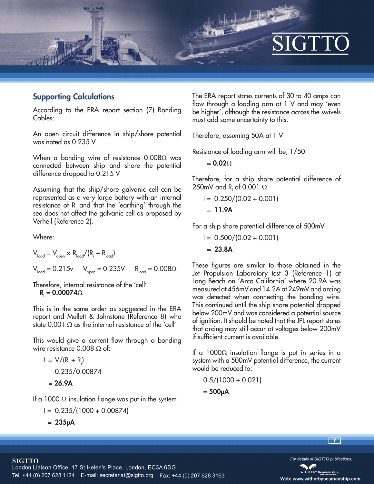

#### **Supporting Calculations**

According to the ERA report section (7) Bonding Cables:

An open circuit difference in ship/shore potential was noted as 0.235 V

When a bonding wire of resistance  $0.008\Omega$  was connected between ship and shore the potential difference dropped to 0.215 V

Assuming that the ship/shore galvanic cell can be represented as a very large battery with an internal resistance of  $R_{i}$  and that the 'earthing' through the sea does not affect the galvanic cell as proposed by Verheil (Reference 2).

Where:

$$
V_{\text{load}} = V_{\text{open}} \times R_{\text{load}} / (R_{\text{i}} + R_{\text{load}})
$$
  

$$
V_{\text{load}} = 0.215v \qquad V_{\text{open}} = 0.235V \qquad R_{\text{load}} = 0.008\Omega
$$

Therefore, internal resistance of the 'cell'  $R_i = 0.00074\Omega$ 

This is in the same order as suggested in the ERA report and Mullett & Johnstone (Reference 8) who state 0.001  $\Omega$  as the internal resistance of the 'cell'

This would give a current flow through a bonding wire resistance  $0.008 \Omega$  of:

$$
I = V/(R_1 + R_1)
$$
  
0.235/0.00874  
= 26.9A

If a 1000  $\Omega$  insulation flange was put in the system

$$
I = 0.235/(1000 + 0.00874)
$$

 $= 235 \mu A$ 

The ERA report states currents of 30 to 40 amps can flow through a loading arm at 1 V and may 'even be higher', although the resistance across the swivels must add some uncertainty to this.

Therefore, assuming 50A at 1 V

Resistance of loading arm will be; 1/50

**」、「画** 

 $= 0.020$ 

Therefore, for a ship shore potential difference of 250mV and R<sub>i</sub> of 0.001  $\Omega$ 

$$
I = 0.250/(0.02 + 0.001)
$$
  
= **11.9A**

For a ship shore potential difference of 500mV

 $I = 0.500/(0.02 + 0.001)$ 

 $= 23.8A$ 

These figures are similar to those obtained in the Jet Propulsion Laboratory test 3 (Reference 1) at Long Beach on 'Arco California' where 20.9A was measured at 456mV and 14.2A at 249mV and arcing was detected when connecting the bonding wire. This continued until the ship-shore potential dropped below 200mV and was considered a potential source of ignition. It should be noted that the JPL report states that arcing may still occur at voltages below 200mV if sufficient current is available.

If a 1000 $\Omega$  insulation flange is put in series in a system with a 500mV potential difference, the current would be reduced to:

 $0.5/(1000 + 0.021)$ 

$$
=500\mu A
$$

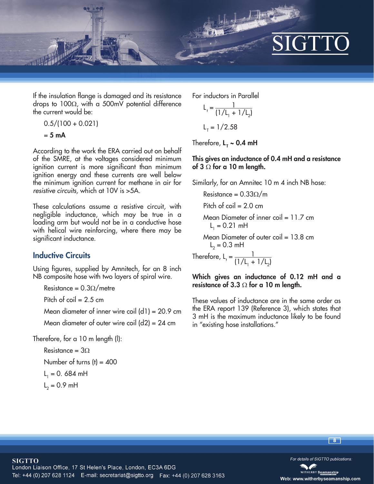

If the insulation flange is damaged and its resistance drops to  $100\Omega$ , with a 500mV potential difference the current would be:

$$
0.5/(100+0.021)
$$

$$
= 5 \text{ mA}
$$

According to the work the ERA carried out on behalf of the SMRE, at the voltages considered minimum ignition current is more significant than minimum ignition energy and these currents are well below the minimum ignition current for methane in air for *resistive circuits,* which at 10V is >5A.

These calculations assume a resistive circuit, with negligible inductance, which may be true in a loading arm but would not be in a conductive hose with helical wire reinforcing, where there may be significant inductance.

#### **Inductive Circuits**

Using figures, supplied by Amnitech, for an 8 inch NB composite hose with two layers of spiral wire.

Resistance =  $0.3\Omega/m$ etre

Pitch of  $\text{coil} = 2.5 \text{ cm}$ 

Mean diameter of inner wire coil  $(d1)$  = 20.9 cm Mean diameter of outer wire coil  $(d2) = 24$  cm

Therefore, for a 10 m length (l):

Resistance =  $3\Omega$ Number of turns  $(t) = 400$  $L_1 = 0.684$  mH  $L_2 = 0.9$  mH

For inductors in Parallel

$$
L_{1} = \frac{1}{(1/L_{1} + 1/L_{2})}
$$
  

$$
L_{1} = 1/2.58
$$

Therefore, **L T ~ 0.4 mH**

#### **This gives an inductance of 0.4 mH and a resistance**  of 3  $\Omega$  for a 10 m length.

Similarly, for an Amnitec 10 m 4 inch NB hose:

レノ 小さ

Resistance =  $0.33\Omega/m$ 

Pitch of  $\text{coil} = 2.0 \text{ cm}$ 

Mean Diameter of inner coil =  $11.7$  cm  $L_1 = 0.21$  mH

Mean Diameter of outer coil = 13.8 cm  $L_2 = 0.3$  mH

Therefore,  $L_t = \frac{1}{11/l}$  $(1/L_1 + 1/L_2)$ 

#### **Which gives an inductance of 0.12 mH and a**  resistance of 3.3  $\Omega$  for a 10 m length.

These values of inductance are in the same order as the ERA report 139 (Reference 3), which states that 3 mH is the maximum inductance likely to be found in "existing hose installations."

**8**



For details of SIGTTO publications.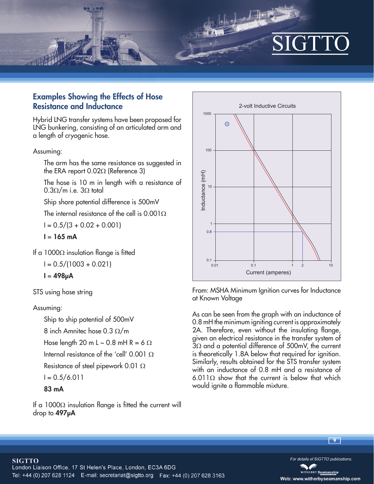

## **Examples Showing the Effects of Hose Resistance and Inductance**

Hybrid LNG transfer systems have been proposed for LNG bunkering, consisting of an articulated arm and a length of cryogenic hose.

Assuming:

The arm has the same resistance as suggested in the ERA report  $0.02\Omega$  (Reference 3)

The hose is 10 m in length with a resistance of  $0.3\Omega/m$  i.e.  $3\Omega$  total

Ship shore potential difference is 500mV

The internal resistance of the cell is  $0.001\Omega$ 

 $I = 0.5/(3 + 0.02 + 0.001)$ 

$$
I = 165 \text{ mA}
$$

If a 1000 $\Omega$  insulation flange is fitted

 $I = 0.5/(1003 + 0.021)$ 

$$
I = 498\mu A
$$

STS using hose string

#### Assuming:

Ship to ship potential of 500mV

8 inch Amnitec hose 0.3  $\Omega/m$ 

Hose length 20 m L  $\sim$  0.8 mH R = 6  $\Omega$ 

Internal resistance of the 'cell' 0.001  $\Omega$ 

Resistance of steel pipework 0.01  $\Omega$ 

$$
I = 0.5/6.011
$$

**83 mA**

If a 1000 $\Omega$  insulation flange is fitted the current will drop to **497μA**



 $1 - \sqrt{\log 3}$ 

From: MSHA Minimum Ignition curves for Inductance at Known Voltage

As can be seen from the graph with an inductance of 0.8 mH the minimum igniting current is approximately 2A. Therefore, even without the insulating flange, given an electrical resistance in the transfer system of  $3\Omega$  and a potential difference of 500mV, the current is theoretically 1.8A below that required for ignition. Similarly, results obtained for the STS transfer system with an inductance of 0.8 mH and a resistance of 6.011 $\Omega$  show that the current is below that which would ignite a flammable mixture.



For details of SIGTTO publications.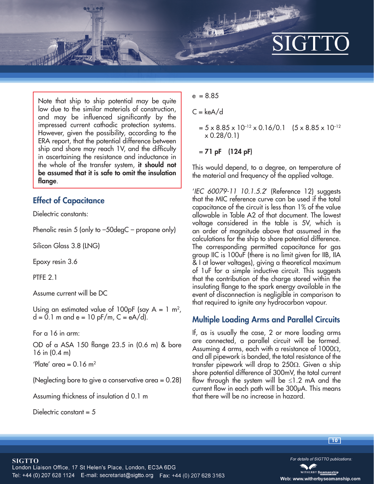# $\blacksquare$

Note that ship to ship potential may be quite low due to the similar materials of construction, and may be influenced significantly by the impressed current cathodic protection systems. However, given the possibility, according to the ERA report, that the potential difference between ship and shore may reach 1V, and the difficulty in ascertaining the resistance and inductance in the whole of the transfer system, **it should not be assumed that it is safe to omit the insulation flange**.

### **Effect of Capacitance**

Dielectric constants:

Phenolic resin 5 (only to -50degC – propane only)

Silicon Glass 3.8 (LNG)

Epoxy resin 3.6

PTFF 2.1

Assume current will be DC

Using an estimated value of 100pF (say  $A = 1$  m<sup>2</sup>,  $d = 0.1$  m and e = 10 pF/m, C = eA/d).

For a 16 in arm:

OD of a ASA 150 flange 23.5 in (0.6 m) & bore 16 in (0.4 m)

'Plate' area =  $0.16$  m<sup>2</sup>

(Neglecting bore to give a conservative area = 0.28)

Assuming thickness of insulation d 0.1 m

Dielectric constant  $= 5$ 

 $e = 8.85$ 

 $C = keA/d$ 

 $= 5 \times 8.85 \times 10^{-12} \times 0.16/0.1$  (5 x 8.85 x 10<sup>-12</sup>)  $\times$  0.28/0.1)

 $1 - \sqrt{2}$ 

#### = **71 pF (124 pF)**

This would depend, to a degree, on temperature of the material and frequency of the applied voltage.

'*IEC 60079-11 10.1.5.2*' (Reference 12) suggests that the MIC reference curve can be used if the total capacitance of the circuit is less than 1% of the value allowable in Table A2 of that document. The lowest voltage considered in the table is 5V, which is an order of magnitude above that assumed in the calculations for the ship to shore potential difference. The corresponding permitted capacitance for gas group IIC is 100uF (there is no limit given for IIB, IIA & I at lower voltages), giving a theoretical maximum of 1uF for a simple inductive circuit. This suggests that the contribution of the charge stored within the insulating flange to the spark energy available in the event of disconnection is negligible in comparison to that required to ignite any hydrocarbon vapour.

## **Multiple Loading Arms and Parallel Circuits**

If, as is usually the case, 2 or more loading arms are connected, a parallel circuit will be formed. Assuming 4 arms, each with a resistance of  $1000\Omega$ , and all pipework is bonded, the total resistance of the transfer pipework will drop to 250 $\Omega$ . Given a ship shore potential difference of 300mV, the total current flow through the system will be  $\leq$ 1.2 mA and the current flow in each path will be 300μA. This means that there will be no increase in hazard.

**10**

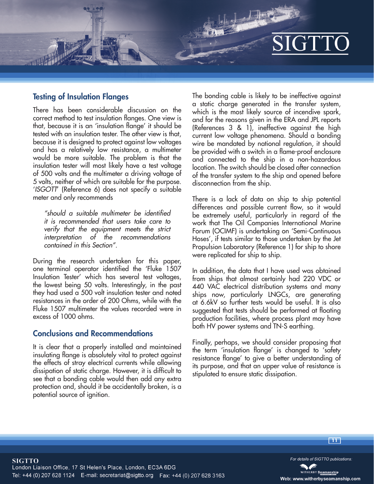#### **Testing of Insulation Flanges**

There has been considerable discussion on the correct method to test insulation flanges. One view is that, because it is an 'insulation flange' it should be tested with an insulation tester. The other view is that, because it is designed to protect against low voltages and has a relatively low resistance, a multimeter would be more suitable. The problem is that the insulation tester will most likely have a test voltage of 500 volts and the multimeter a driving voltage of 5 volts, neither of which are suitable for the purpose. '*ISGOTT*' (Reference 6) does not specify a suitable meter and only recommends

*"should a suitable multimeter be identified it is recommended that users take care to verify that the equipment meets the strict interpretation of the recommendations contained in this Section".* 

During the research undertaken for this paper, one terminal operator identified the 'Fluke 1507 Insulation Tester' which has several test voltages, the lowest being 50 volts. Interestingly, in the past they had used a 500 volt insulation tester and noted resistances in the order of 200 Ohms, while with the Fluke 1507 multimeter the values recorded were in excess of 1000 ohms.

#### **Conclusions and Recommendations**

It is clear that a properly installed and maintained insulating flange is absolutely vital to protect against the effects of stray electrical currents while allowing dissipation of static charge. However, it is difficult to see that a bonding cable would then add any extra protection and, should it be accidentally broken, is a potential source of ignition.

The bonding cable is likely to be ineffective against a static charge generated in the transfer system, which is the most likely source of incendive spark, and for the reasons given in the ERA and JPL reports (References 3 & 1), ineffective against the high current low voltage phenomena. Should a bonding wire be mandated by national regulation, it should be provided with a switch in a flame-proof enclosure and connected to the ship in a non-hazardous location. The switch should be closed after connection of the transfer system to the ship and opened before disconnection from the ship.

There is a lack of data on ship to ship potential differences and possible current flow, so it would be extremely useful, particularly in regard of the work that The Oil Companies International Marine Forum (OCIMF) is undertaking on 'Semi-Continuous Hoses', if tests similar to those undertaken by the Jet Propulsion Laboratory (Reference 1) for ship to shore were replicated for ship to ship.

In addition, the data that I have used was obtained from ships that almost certainly had 220 VDC or 440 VAC electrical distribution systems and many ships now, particularly LNGCs, are generating at 6.6kV so further tests would be useful. It is also suggested that tests should be performed at floating production facilities, where process plant may have both HV power systems and TN-S earthing.

Finally, perhaps, we should consider proposing that the term 'insulation flange' is changed to 'safety resistance flange' to give a better understanding of its purpose, and that an upper value of resistance is stipulated to ensure static dissipation.

**11**

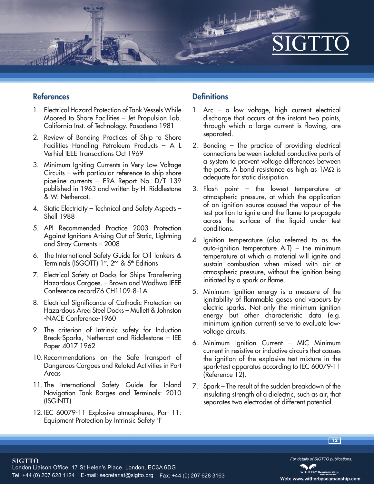#### **References**

- 1. Electrical Hazard Protection of Tank Vessels While Moored to Shore Facilities – Jet Propulsion Lab. California Inst. of Technology. Pasadena 1981
- 2. Review of Bonding Practices of Ship to Shore Facilities Handling Petroleum Products – A L Verhiel IEEE Transactions Oct 1969
- 3. Minimum Igniting Currents in Very Low Voltage Circuits – with particular reference to ship-shore pipeline currents – ERA Report No. D/T 139 published in 1963 and written by H. Riddlestone & W. Nethercot.
- 4. Static Electricity Technical and Safety Aspects Shell 1988
- 5. API Recommended Practice 2003 Protection Against Ignitions Arising Out of Static, Lightning and Stray Currents – 2008
- 6. The International Safety Guide for Oil Tankers & Terminals (ISGOTT) 1<sup>st</sup>, 2<sup>nd</sup> & 5<sup>th</sup> Editions
- 7. Electrical Safety at Docks for Ships Transferring Hazardous Cargoes. – Brown and Wadhwa IEEE Conference record76 CH1109-8-1A
- 8. Electrical Significance of Cathodic Protection on Hazardous Area Steel Docks – Mullett & Johnston -NACE Conference-1960
- 9. The criterion of Intrinsic safety for Induction Break-Sparks, Nethercot and Riddlestone – IEE Paper 4017 1962
- 10. Recommendations on the Safe Transport of Dangerous Cargoes and Related Activities in Port Areas
- 11. The International Safety Guide for Inland Navigation Tank Barges and Terminals: 2010 (ISGINTT)
- 12. IEC 60079-11 Explosive atmospheres, Part 11: Equipment Protection by Intrinsic Safety 'I'

## **Definitions**

1. Arc – a low voltage, high current electrical discharge that occurs at the instant two points, through which a large current is flowing, are separated.

 $\frac{1}{2}$ 

- 2. Bonding The practice of providing electrical connections between isolated conductive parts of a system to prevent voltage differences between the parts. A bond resistance as high as  $1M\Omega$  is adequate for static dissipation.
- 3. Flash point the lowest temperature at atmospheric pressure, at which the application of an ignition source caused the vapour of the test portion to ignite and the flame to propagate across the surface of the liquid under test conditions.
- 4. Ignition temperature (also referred to as the auto-ignition temperature AIT) – the minimum temperature at which a material will ignite and sustain combustion when mixed with air at atmospheric pressure, without the ignition being initiated by a spark or flame.
- 5. Minimum ignition energy is a measure of the ignitability of flammable gases and vapours by electric sparks. Not only the minimum ignition energy but other characteristic data (e.g. minimum ignition current) serve to evaluate lowvoltage circuits.
- 6. Minimum Ignition Current MIC Minimum current in resistive or inductive circuits that causes the ignition of the explosive test mixture in the spark-test apparatus according to IEC 60079-11 (Reference 12).
- 7. Spark The result of the sudden breakdown of the insulating strength of a dielectric, such as air, that separates two electrodes of different potential.



For details of SIGTTO publications.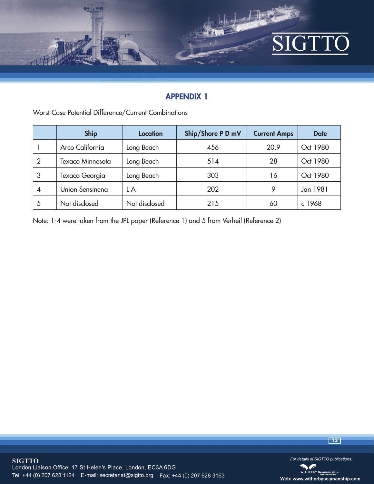

## **APPENDIX 1**

Worst Case Potential Difference/Current Combinations

|                | <b>Ship</b>      | <b>Location</b> | Ship/Shore P D mV | <b>Current Amps</b> | <b>Date</b> |
|----------------|------------------|-----------------|-------------------|---------------------|-------------|
|                | Arco California  | Long Beach      | 456               | 20.9                | Oct 1980    |
| $\overline{2}$ | Texaco Minnesota | Long Beach      | 514               | 28                  | Oct 1980    |
| 3              | Texaco Georgia   | Long Beach      | 303               | 16                  | Oct 1980    |
| 4              | Union Sensinena  | L A             | 202               | 9                   | Jan 1981    |
| 5              | Not disclosed    | Not disclosed   | 215               | 60                  | c 1968      |

Note: 1-4 were taken from the JPL paper (Reference 1) and 5 from Verheil (Reference 2)



**13**